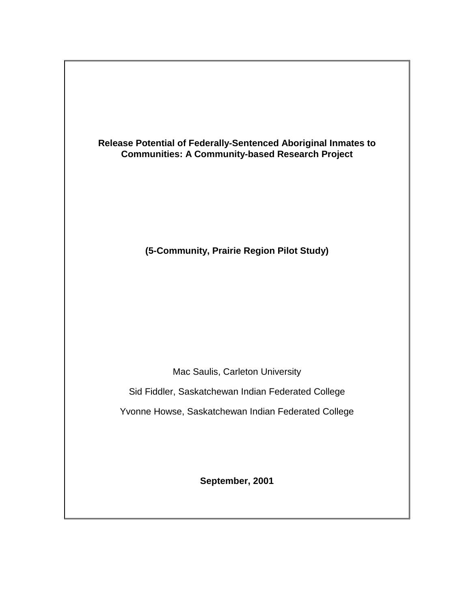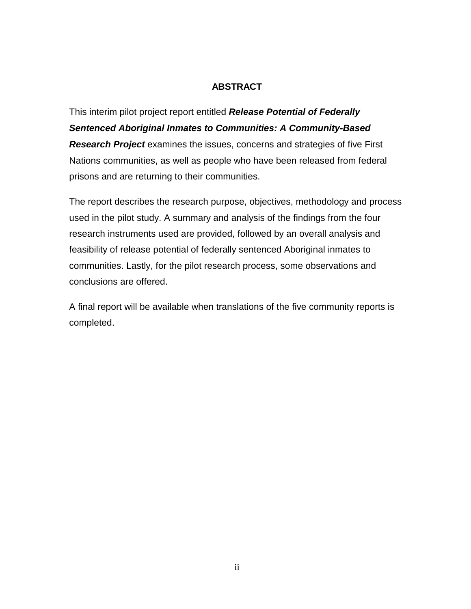## **ABSTRACT**

<span id="page-1-0"></span>This interim pilot project report entitled *Release Potential of Federally Sentenced Aboriginal Inmates to Communities: A Community-Based Research Project* examines the issues, concerns and strategies of five First Nations communities, as well as people who have been released from federal prisons and are returning to their communities.

The report describes the research purpose, objectives, methodology and process used in the pilot study. A summary and analysis of the findings from the four research instruments used are provided, followed by an overall analysis and feasibility of release potential of federally sentenced Aboriginal inmates to communities. Lastly, for the pilot research process, some observations and conclusions are offered.

A final report will be available when translations of the five community reports is completed.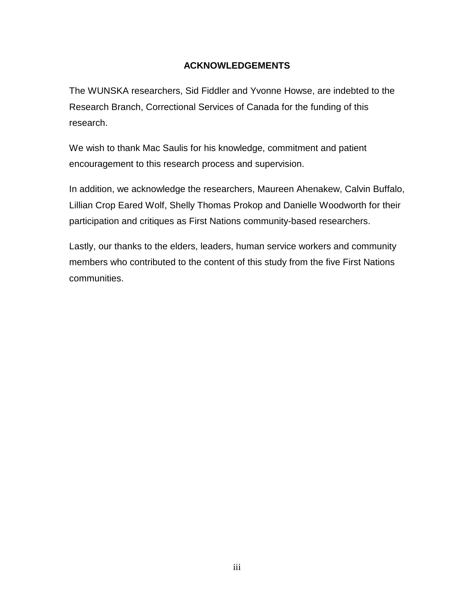# **ACKNOWLEDGEMENTS**

<span id="page-2-0"></span>The WUNSKA researchers, Sid Fiddler and Yvonne Howse, are indebted to the Research Branch, Correctional Services of Canada for the funding of this research.

We wish to thank Mac Saulis for his knowledge, commitment and patient encouragement to this research process and supervision.

In addition, we acknowledge the researchers, Maureen Ahenakew, Calvin Buffalo, Lillian Crop Eared Wolf, Shelly Thomas Prokop and Danielle Woodworth for their participation and critiques as First Nations community-based researchers.

Lastly, our thanks to the elders, leaders, human service workers and community members who contributed to the content of this study from the five First Nations communities.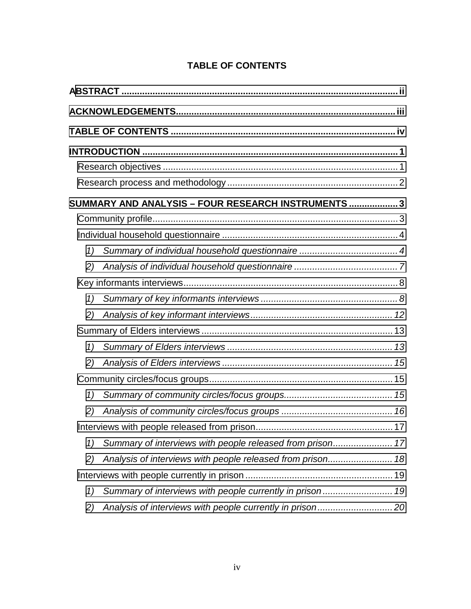|    | SUMMARY AND ANALYSIS - FOUR RESEARCH INSTRUMENTS  3 |  |  |  |
|----|-----------------------------------------------------|--|--|--|
|    |                                                     |  |  |  |
|    |                                                     |  |  |  |
| 1) |                                                     |  |  |  |
| 2) |                                                     |  |  |  |
|    |                                                     |  |  |  |
| 1) |                                                     |  |  |  |
| 2) |                                                     |  |  |  |
|    |                                                     |  |  |  |
| 1) |                                                     |  |  |  |
| 2) |                                                     |  |  |  |
|    |                                                     |  |  |  |
| 1) |                                                     |  |  |  |
| 2) |                                                     |  |  |  |
|    |                                                     |  |  |  |
| 1) |                                                     |  |  |  |
| 2) |                                                     |  |  |  |
|    |                                                     |  |  |  |
| 1) |                                                     |  |  |  |
| 2) |                                                     |  |  |  |

# **TABLE OF CONTENTS**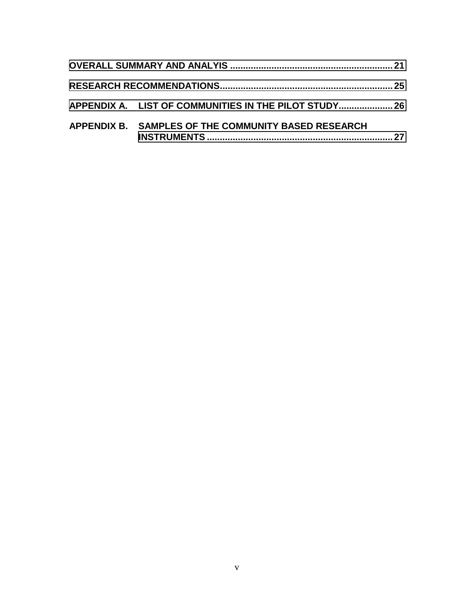| APPENDIX A. LIST OF COMMUNITIES IN THE PILOT STUDY 26 |  |
|-------------------------------------------------------|--|
| APPENDIX B. SAMPLES OF THE COMMUNITY BASED RESEARCH   |  |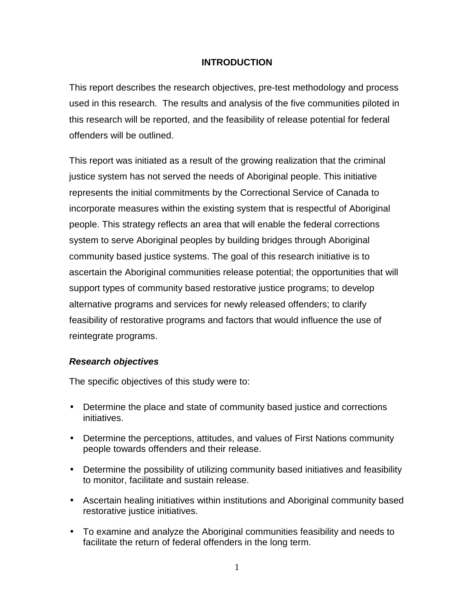## **INTRODUCTION**

<span id="page-5-0"></span>This report describes the research objectives, pre-test methodology and process used in this research. The results and analysis of the five communities piloted in this research will be reported, and the feasibility of release potential for federal offenders will be outlined.

This report was initiated as a result of the growing realization that the criminal justice system has not served the needs of Aboriginal people. This initiative represents the initial commitments by the Correctional Service of Canada to incorporate measures within the existing system that is respectful of Aboriginal people. This strategy reflects an area that will enable the federal corrections system to serve Aboriginal peoples by building bridges through Aboriginal community based justice systems. The goal of this research initiative is to ascertain the Aboriginal communities release potential; the opportunities that will support types of community based restorative justice programs; to develop alternative programs and services for newly released offenders; to clarify feasibility of restorative programs and factors that would influence the use of reintegrate programs.

#### *Research objectives*

The specific objectives of this study were to:

- Determine the place and state of community based justice and corrections initiatives.
- Determine the perceptions, attitudes, and values of First Nations community people towards offenders and their release.
- Determine the possibility of utilizing community based initiatives and feasibility to monitor, facilitate and sustain release.
- Ascertain healing initiatives within institutions and Aboriginal community based restorative justice initiatives.
- To examine and analyze the Aboriginal communities feasibility and needs to facilitate the return of federal offenders in the long term.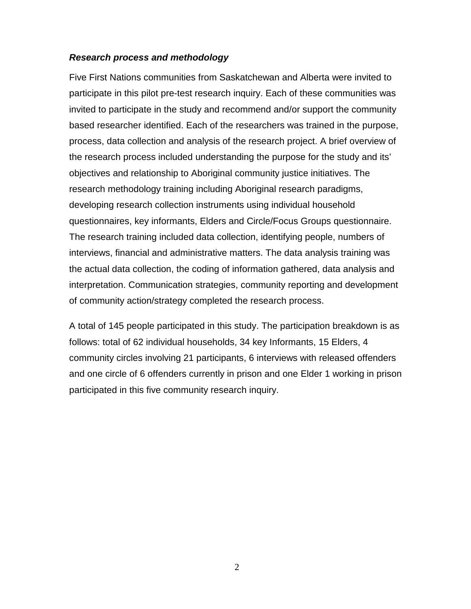#### <span id="page-6-0"></span>*Research process and methodology*

Five First Nations communities from Saskatchewan and Alberta were invited to participate in this pilot pre-test research inquiry. Each of these communities was invited to participate in the study and recommend and/or support the community based researcher identified. Each of the researchers was trained in the purpose, process, data collection and analysis of the research project. A brief overview of the research process included understanding the purpose for the study and its' objectives and relationship to Aboriginal community justice initiatives. The research methodology training including Aboriginal research paradigms, developing research collection instruments using individual household questionnaires, key informants, Elders and Circle/Focus Groups questionnaire. The research training included data collection, identifying people, numbers of interviews, financial and administrative matters. The data analysis training was the actual data collection, the coding of information gathered, data analysis and interpretation. Communication strategies, community reporting and development of community action/strategy completed the research process.

A total of 145 people participated in this study. The participation breakdown is as follows: total of 62 individual households, 34 key Informants, 15 Elders, 4 community circles involving 21 participants, 6 interviews with released offenders and one circle of 6 offenders currently in prison and one Elder 1 working in prison participated in this five community research inquiry.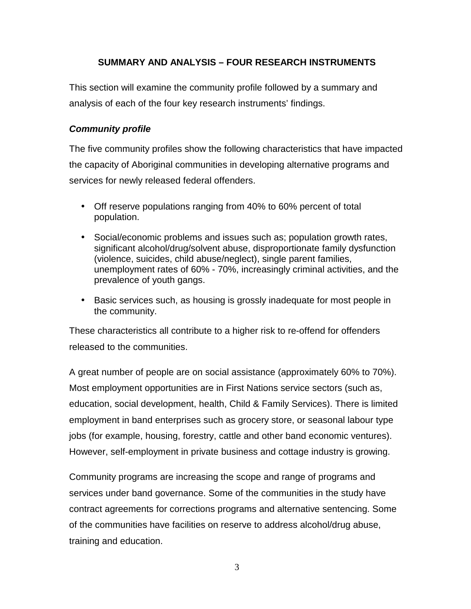# **SUMMARY AND ANALYSIS – FOUR RESEARCH INSTRUMENTS**

<span id="page-7-0"></span>This section will examine the community profile followed by a summary and analysis of each of the four key research instruments' findings.

## *Community profile*

The five community profiles show the following characteristics that have impacted the capacity of Aboriginal communities in developing alternative programs and services for newly released federal offenders.

- Off reserve populations ranging from 40% to 60% percent of total population.
- Social/economic problems and issues such as; population growth rates, significant alcohol/drug/solvent abuse, disproportionate family dysfunction (violence, suicides, child abuse/neglect), single parent families, unemployment rates of 60% - 70%, increasingly criminal activities, and the prevalence of youth gangs.
- Basic services such, as housing is grossly inadequate for most people in the community.

These characteristics all contribute to a higher risk to re-offend for offenders released to the communities.

A great number of people are on social assistance (approximately 60% to 70%). Most employment opportunities are in First Nations service sectors (such as, education, social development, health, Child & Family Services). There is limited employment in band enterprises such as grocery store, or seasonal labour type jobs (for example, housing, forestry, cattle and other band economic ventures). However, self-employment in private business and cottage industry is growing.

Community programs are increasing the scope and range of programs and services under band governance. Some of the communities in the study have contract agreements for corrections programs and alternative sentencing. Some of the communities have facilities on reserve to address alcohol/drug abuse, training and education.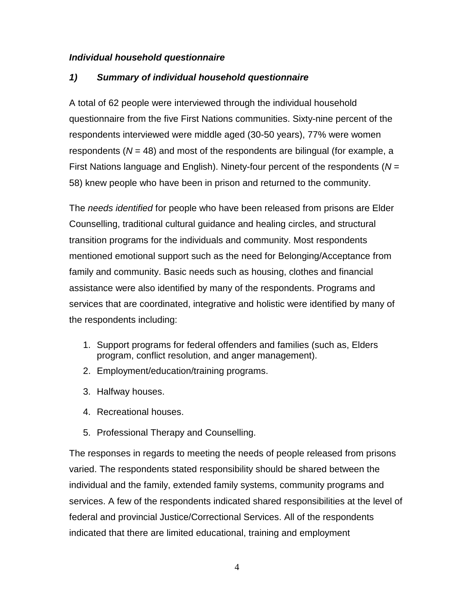#### <span id="page-8-0"></span>*Individual household questionnaire*

# *1) Summary of individual household questionnaire*

A total of 62 people were interviewed through the individual household questionnaire from the five First Nations communities. Sixty-nine percent of the respondents interviewed were middle aged (30-50 years), 77% were women respondents (*N* = 48) and most of the respondents are bilingual (for example, a First Nations language and English). Ninety-four percent of the respondents (*N* = 58) knew people who have been in prison and returned to the community.

The *needs identified* for people who have been released from prisons are Elder Counselling, traditional cultural guidance and healing circles, and structural transition programs for the individuals and community. Most respondents mentioned emotional support such as the need for Belonging/Acceptance from family and community. Basic needs such as housing, clothes and financial assistance were also identified by many of the respondents. Programs and services that are coordinated, integrative and holistic were identified by many of the respondents including:

- 1. Support programs for federal offenders and families (such as, Elders program, conflict resolution, and anger management).
- 2. Employment/education/training programs.
- 3. Halfway houses.
- 4. Recreational houses.
- 5. Professional Therapy and Counselling.

The responses in regards to meeting the needs of people released from prisons varied. The respondents stated responsibility should be shared between the individual and the family, extended family systems, community programs and services. A few of the respondents indicated shared responsibilities at the level of federal and provincial Justice/Correctional Services. All of the respondents indicated that there are limited educational, training and employment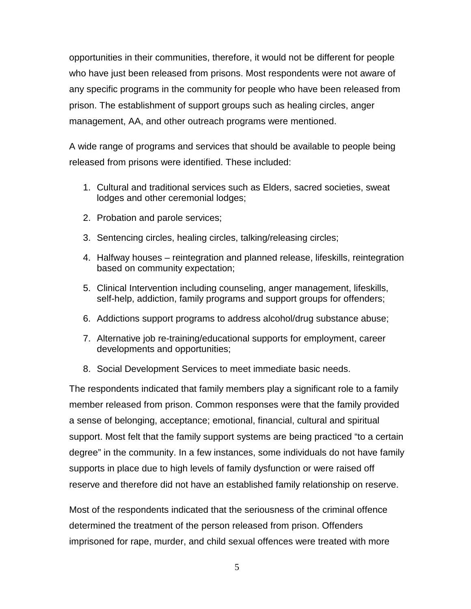opportunities in their communities, therefore, it would not be different for people who have just been released from prisons. Most respondents were not aware of any specific programs in the community for people who have been released from prison. The establishment of support groups such as healing circles, anger management, AA, and other outreach programs were mentioned.

A wide range of programs and services that should be available to people being released from prisons were identified. These included:

- 1. Cultural and traditional services such as Elders, sacred societies, sweat lodges and other ceremonial lodges;
- 2. Probation and parole services;
- 3. Sentencing circles, healing circles, talking/releasing circles;
- 4. Halfway houses reintegration and planned release, lifeskills, reintegration based on community expectation;
- 5. Clinical Intervention including counseling, anger management, lifeskills, self-help, addiction, family programs and support groups for offenders;
- 6. Addictions support programs to address alcohol/drug substance abuse;
- 7. Alternative job re-training/educational supports for employment, career developments and opportunities;
- 8. Social Development Services to meet immediate basic needs.

The respondents indicated that family members play a significant role to a family member released from prison. Common responses were that the family provided a sense of belonging, acceptance; emotional, financial, cultural and spiritual support. Most felt that the family support systems are being practiced "to a certain degree" in the community. In a few instances, some individuals do not have family supports in place due to high levels of family dysfunction or were raised off reserve and therefore did not have an established family relationship on reserve.

Most of the respondents indicated that the seriousness of the criminal offence determined the treatment of the person released from prison. Offenders imprisoned for rape, murder, and child sexual offences were treated with more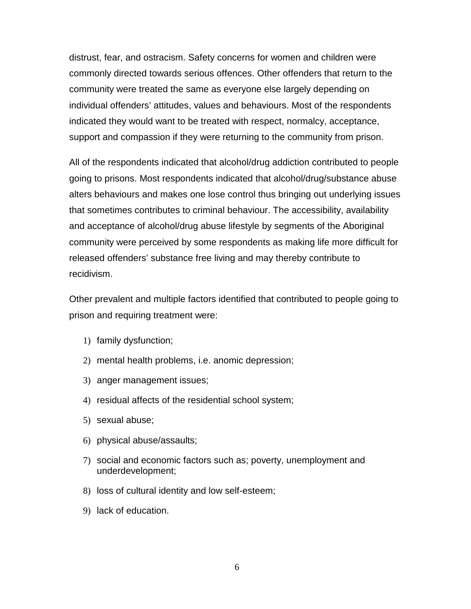distrust, fear, and ostracism. Safety concerns for women and children were commonly directed towards serious offences. Other offenders that return to the community were treated the same as everyone else largely depending on individual offenders' attitudes, values and behaviours. Most of the respondents indicated they would want to be treated with respect, normalcy, acceptance, support and compassion if they were returning to the community from prison.

All of the respondents indicated that alcohol/drug addiction contributed to people going to prisons. Most respondents indicated that alcohol/drug/substance abuse alters behaviours and makes one lose control thus bringing out underlying issues that sometimes contributes to criminal behaviour. The accessibility, availability and acceptance of alcohol/drug abuse lifestyle by segments of the Aboriginal community were perceived by some respondents as making life more difficult for released offenders' substance free living and may thereby contribute to recidivism.

Other prevalent and multiple factors identified that contributed to people going to prison and requiring treatment were:

- 1) family dysfunction;
- 2) mental health problems, i.e. anomic depression;
- 3) anger management issues;
- 4) residual affects of the residential school system;
- 5) sexual abuse;
- 6) physical abuse/assaults;
- 7) social and economic factors such as; poverty, unemployment and underdevelopment;
- 8) loss of cultural identity and low self-esteem;
- 9) lack of education.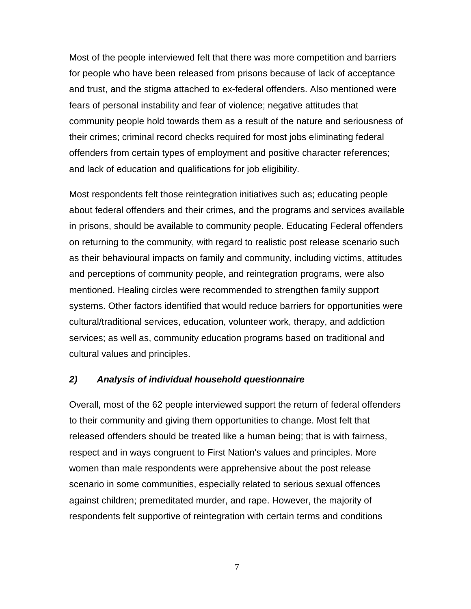<span id="page-11-0"></span>Most of the people interviewed felt that there was more competition and barriers for people who have been released from prisons because of lack of acceptance and trust, and the stigma attached to ex-federal offenders. Also mentioned were fears of personal instability and fear of violence; negative attitudes that community people hold towards them as a result of the nature and seriousness of their crimes; criminal record checks required for most jobs eliminating federal offenders from certain types of employment and positive character references; and lack of education and qualifications for job eligibility.

Most respondents felt those reintegration initiatives such as; educating people about federal offenders and their crimes, and the programs and services available in prisons, should be available to community people. Educating Federal offenders on returning to the community, with regard to realistic post release scenario such as their behavioural impacts on family and community, including victims, attitudes and perceptions of community people, and reintegration programs, were also mentioned. Healing circles were recommended to strengthen family support systems. Other factors identified that would reduce barriers for opportunities were cultural/traditional services, education, volunteer work, therapy, and addiction services; as well as, community education programs based on traditional and cultural values and principles.

#### *2) Analysis of individual household questionnaire*

Overall, most of the 62 people interviewed support the return of federal offenders to their community and giving them opportunities to change. Most felt that released offenders should be treated like a human being; that is with fairness, respect and in ways congruent to First Nation's values and principles. More women than male respondents were apprehensive about the post release scenario in some communities, especially related to serious sexual offences against children; premeditated murder, and rape. However, the majority of respondents felt supportive of reintegration with certain terms and conditions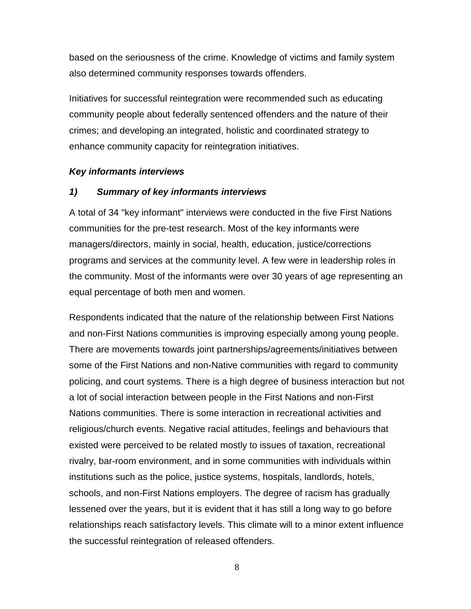<span id="page-12-0"></span>based on the seriousness of the crime. Knowledge of victims and family system also determined community responses towards offenders.

Initiatives for successful reintegration were recommended such as educating community people about federally sentenced offenders and the nature of their crimes; and developing an integrated, holistic and coordinated strategy to enhance community capacity for reintegration initiatives.

#### *Key informants interviews*

#### *1) Summary of key informants interviews*

A total of 34 "key informant" interviews were conducted in the five First Nations communities for the pre-test research. Most of the key informants were managers/directors, mainly in social, health, education, justice/corrections programs and services at the community level. A few were in leadership roles in the community. Most of the informants were over 30 years of age representing an equal percentage of both men and women.

Respondents indicated that the nature of the relationship between First Nations and non-First Nations communities is improving especially among young people. There are movements towards joint partnerships/agreements/initiatives between some of the First Nations and non-Native communities with regard to community policing, and court systems. There is a high degree of business interaction but not a lot of social interaction between people in the First Nations and non-First Nations communities. There is some interaction in recreational activities and religious/church events. Negative racial attitudes, feelings and behaviours that existed were perceived to be related mostly to issues of taxation, recreational rivalry, bar-room environment, and in some communities with individuals within institutions such as the police, justice systems, hospitals, landlords, hotels, schools, and non-First Nations employers. The degree of racism has gradually lessened over the years, but it is evident that it has still a long way to go before relationships reach satisfactory levels. This climate will to a minor extent influence the successful reintegration of released offenders.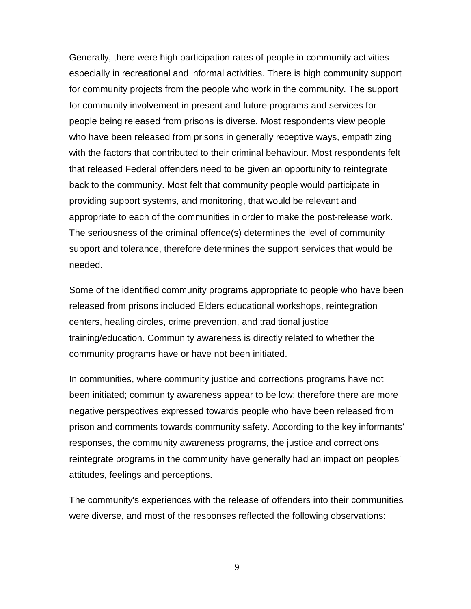Generally, there were high participation rates of people in community activities especially in recreational and informal activities. There is high community support for community projects from the people who work in the community. The support for community involvement in present and future programs and services for people being released from prisons is diverse. Most respondents view people who have been released from prisons in generally receptive ways, empathizing with the factors that contributed to their criminal behaviour. Most respondents felt that released Federal offenders need to be given an opportunity to reintegrate back to the community. Most felt that community people would participate in providing support systems, and monitoring, that would be relevant and appropriate to each of the communities in order to make the post-release work. The seriousness of the criminal offence(s) determines the level of community support and tolerance, therefore determines the support services that would be needed.

Some of the identified community programs appropriate to people who have been released from prisons included Elders educational workshops, reintegration centers, healing circles, crime prevention, and traditional justice training/education. Community awareness is directly related to whether the community programs have or have not been initiated.

In communities, where community justice and corrections programs have not been initiated; community awareness appear to be low; therefore there are more negative perspectives expressed towards people who have been released from prison and comments towards community safety. According to the key informants' responses, the community awareness programs, the justice and corrections reintegrate programs in the community have generally had an impact on peoples' attitudes, feelings and perceptions.

The community's experiences with the release of offenders into their communities were diverse, and most of the responses reflected the following observations: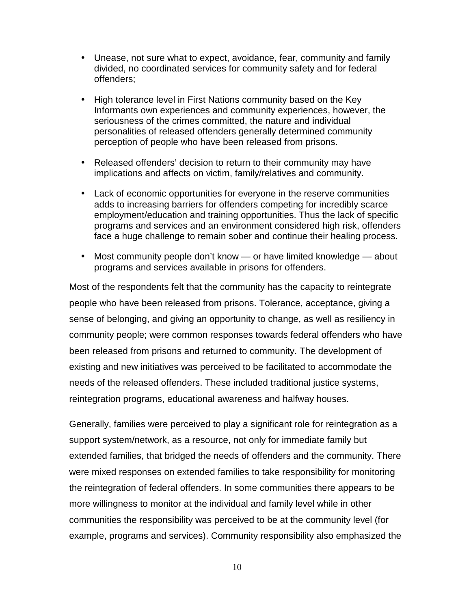- Unease, not sure what to expect, avoidance, fear, community and family divided, no coordinated services for community safety and for federal offenders;
- High tolerance level in First Nations community based on the Key Informants own experiences and community experiences, however, the seriousness of the crimes committed, the nature and individual personalities of released offenders generally determined community perception of people who have been released from prisons.
- Released offenders' decision to return to their community may have implications and affects on victim, family/relatives and community.
- Lack of economic opportunities for everyone in the reserve communities adds to increasing barriers for offenders competing for incredibly scarce employment/education and training opportunities. Thus the lack of specific programs and services and an environment considered high risk, offenders face a huge challenge to remain sober and continue their healing process.
- Most community people don't know or have limited knowledge about programs and services available in prisons for offenders.

Most of the respondents felt that the community has the capacity to reintegrate people who have been released from prisons. Tolerance, acceptance, giving a sense of belonging, and giving an opportunity to change, as well as resiliency in community people; were common responses towards federal offenders who have been released from prisons and returned to community. The development of existing and new initiatives was perceived to be facilitated to accommodate the needs of the released offenders. These included traditional justice systems, reintegration programs, educational awareness and halfway houses.

Generally, families were perceived to play a significant role for reintegration as a support system/network, as a resource, not only for immediate family but extended families, that bridged the needs of offenders and the community. There were mixed responses on extended families to take responsibility for monitoring the reintegration of federal offenders. In some communities there appears to be more willingness to monitor at the individual and family level while in other communities the responsibility was perceived to be at the community level (for example, programs and services). Community responsibility also emphasized the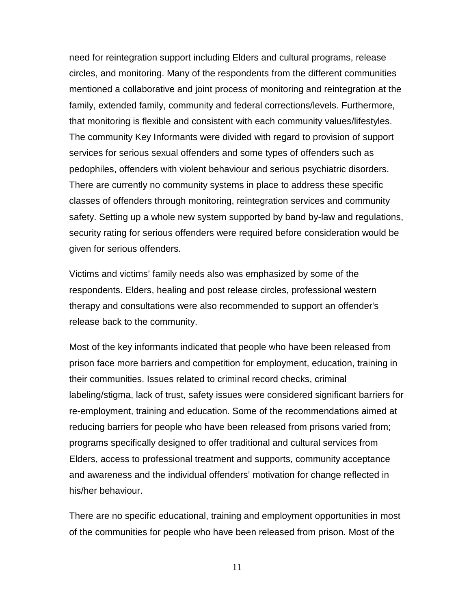need for reintegration support including Elders and cultural programs, release circles, and monitoring. Many of the respondents from the different communities mentioned a collaborative and joint process of monitoring and reintegration at the family, extended family, community and federal corrections/levels. Furthermore, that monitoring is flexible and consistent with each community values/lifestyles. The community Key Informants were divided with regard to provision of support services for serious sexual offenders and some types of offenders such as pedophiles, offenders with violent behaviour and serious psychiatric disorders. There are currently no community systems in place to address these specific classes of offenders through monitoring, reintegration services and community safety. Setting up a whole new system supported by band by-law and regulations, security rating for serious offenders were required before consideration would be given for serious offenders.

Victims and victims' family needs also was emphasized by some of the respondents. Elders, healing and post release circles, professional western therapy and consultations were also recommended to support an offender's release back to the community.

Most of the key informants indicated that people who have been released from prison face more barriers and competition for employment, education, training in their communities. Issues related to criminal record checks, criminal labeling/stigma, lack of trust, safety issues were considered significant barriers for re-employment, training and education. Some of the recommendations aimed at reducing barriers for people who have been released from prisons varied from; programs specifically designed to offer traditional and cultural services from Elders, access to professional treatment and supports, community acceptance and awareness and the individual offenders' motivation for change reflected in his/her behaviour.

There are no specific educational, training and employment opportunities in most of the communities for people who have been released from prison. Most of the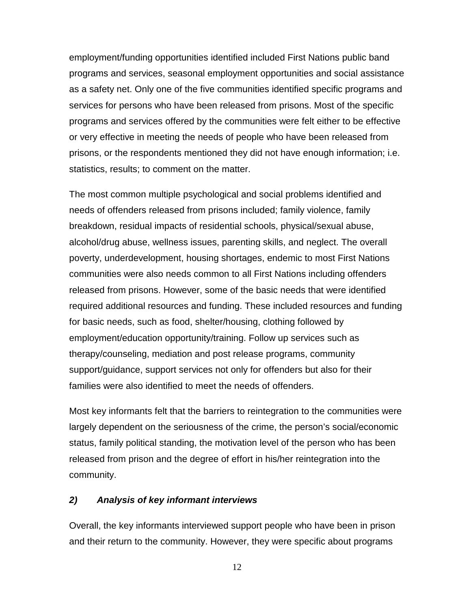<span id="page-16-0"></span>employment/funding opportunities identified included First Nations public band programs and services, seasonal employment opportunities and social assistance as a safety net. Only one of the five communities identified specific programs and services for persons who have been released from prisons. Most of the specific programs and services offered by the communities were felt either to be effective or very effective in meeting the needs of people who have been released from prisons, or the respondents mentioned they did not have enough information; i.e. statistics, results; to comment on the matter.

The most common multiple psychological and social problems identified and needs of offenders released from prisons included; family violence, family breakdown, residual impacts of residential schools, physical/sexual abuse, alcohol/drug abuse, wellness issues, parenting skills, and neglect. The overall poverty, underdevelopment, housing shortages, endemic to most First Nations communities were also needs common to all First Nations including offenders released from prisons. However, some of the basic needs that were identified required additional resources and funding. These included resources and funding for basic needs, such as food, shelter/housing, clothing followed by employment/education opportunity/training. Follow up services such as therapy/counseling, mediation and post release programs, community support/guidance, support services not only for offenders but also for their families were also identified to meet the needs of offenders.

Most key informants felt that the barriers to reintegration to the communities were largely dependent on the seriousness of the crime, the person's social/economic status, family political standing, the motivation level of the person who has been released from prison and the degree of effort in his/her reintegration into the community.

#### *2) Analysis of key informant interviews*

Overall, the key informants interviewed support people who have been in prison and their return to the community. However, they were specific about programs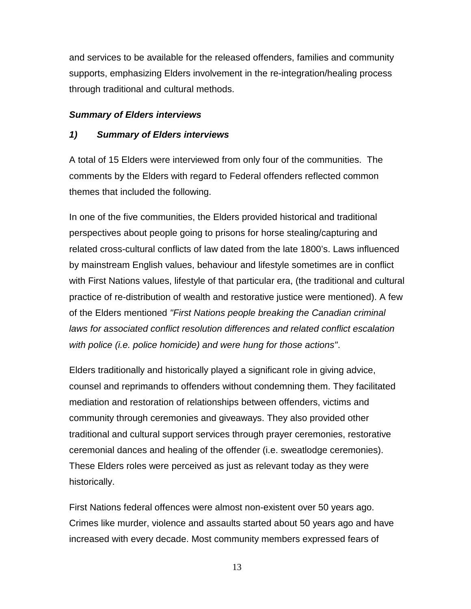<span id="page-17-0"></span>and services to be available for the released offenders, families and community supports, emphasizing Elders involvement in the re-integration/healing process through traditional and cultural methods.

## *Summary of Elders interviews*

## *1) Summary of Elders interviews*

A total of 15 Elders were interviewed from only four of the communities. The comments by the Elders with regard to Federal offenders reflected common themes that included the following.

In one of the five communities, the Elders provided historical and traditional perspectives about people going to prisons for horse stealing/capturing and related cross-cultural conflicts of law dated from the late 1800's. Laws influenced by mainstream English values, behaviour and lifestyle sometimes are in conflict with First Nations values, lifestyle of that particular era, (the traditional and cultural practice of re-distribution of wealth and restorative justice were mentioned). A few of the Elders mentioned *"First Nations people breaking the Canadian criminal laws for associated conflict resolution differences and related conflict escalation with police (i.e. police homicide) and were hung for those actions"*.

Elders traditionally and historically played a significant role in giving advice, counsel and reprimands to offenders without condemning them. They facilitated mediation and restoration of relationships between offenders, victims and community through ceremonies and giveaways. They also provided other traditional and cultural support services through prayer ceremonies, restorative ceremonial dances and healing of the offender (i.e. sweatlodge ceremonies). These Elders roles were perceived as just as relevant today as they were historically.

First Nations federal offences were almost non-existent over 50 years ago. Crimes like murder, violence and assaults started about 50 years ago and have increased with every decade. Most community members expressed fears of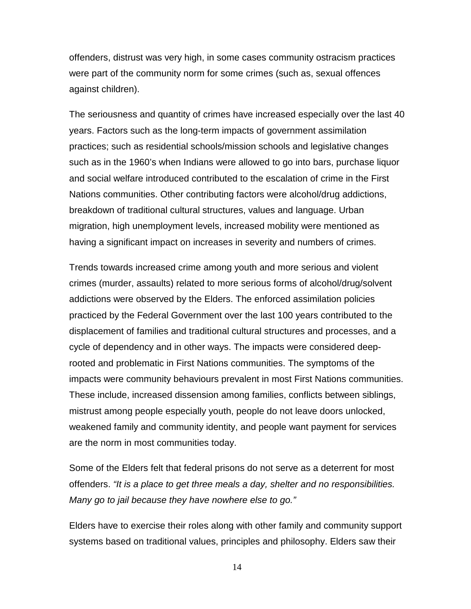offenders, distrust was very high, in some cases community ostracism practices were part of the community norm for some crimes (such as, sexual offences against children).

The seriousness and quantity of crimes have increased especially over the last 40 years. Factors such as the long-term impacts of government assimilation practices; such as residential schools/mission schools and legislative changes such as in the 1960's when Indians were allowed to go into bars, purchase liquor and social welfare introduced contributed to the escalation of crime in the First Nations communities. Other contributing factors were alcohol/drug addictions, breakdown of traditional cultural structures, values and language. Urban migration, high unemployment levels, increased mobility were mentioned as having a significant impact on increases in severity and numbers of crimes.

Trends towards increased crime among youth and more serious and violent crimes (murder, assaults) related to more serious forms of alcohol/drug/solvent addictions were observed by the Elders. The enforced assimilation policies practiced by the Federal Government over the last 100 years contributed to the displacement of families and traditional cultural structures and processes, and a cycle of dependency and in other ways. The impacts were considered deeprooted and problematic in First Nations communities. The symptoms of the impacts were community behaviours prevalent in most First Nations communities. These include, increased dissension among families, conflicts between siblings, mistrust among people especially youth, people do not leave doors unlocked, weakened family and community identity, and people want payment for services are the norm in most communities today.

Some of the Elders felt that federal prisons do not serve as a deterrent for most offenders. *"It is a place to get three meals a day, shelter and no responsibilities. Many go to jail because they have nowhere else to go."*

Elders have to exercise their roles along with other family and community support systems based on traditional values, principles and philosophy. Elders saw their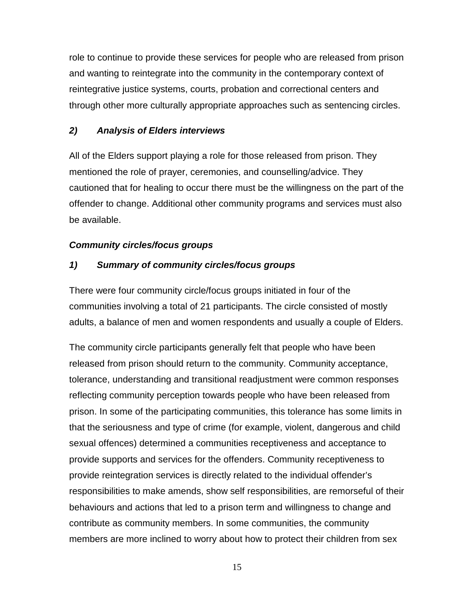<span id="page-19-0"></span>role to continue to provide these services for people who are released from prison and wanting to reintegrate into the community in the contemporary context of reintegrative justice systems, courts, probation and correctional centers and through other more culturally appropriate approaches such as sentencing circles.

# *2) Analysis of Elders interviews*

All of the Elders support playing a role for those released from prison. They mentioned the role of prayer, ceremonies, and counselling/advice. They cautioned that for healing to occur there must be the willingness on the part of the offender to change. Additional other community programs and services must also be available.

# *Community circles/focus groups*

# *1) Summary of community circles/focus groups*

There were four community circle/focus groups initiated in four of the communities involving a total of 21 participants. The circle consisted of mostly adults, a balance of men and women respondents and usually a couple of Elders.

The community circle participants generally felt that people who have been released from prison should return to the community. Community acceptance, tolerance, understanding and transitional readjustment were common responses reflecting community perception towards people who have been released from prison. In some of the participating communities, this tolerance has some limits in that the seriousness and type of crime (for example, violent, dangerous and child sexual offences) determined a communities receptiveness and acceptance to provide supports and services for the offenders. Community receptiveness to provide reintegration services is directly related to the individual offender's responsibilities to make amends, show self responsibilities, are remorseful of their behaviours and actions that led to a prison term and willingness to change and contribute as community members. In some communities, the community members are more inclined to worry about how to protect their children from sex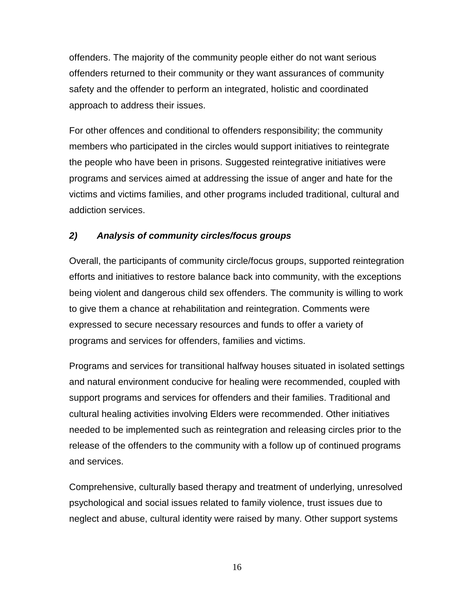<span id="page-20-0"></span>offenders. The majority of the community people either do not want serious offenders returned to their community or they want assurances of community safety and the offender to perform an integrated, holistic and coordinated approach to address their issues.

For other offences and conditional to offenders responsibility; the community members who participated in the circles would support initiatives to reintegrate the people who have been in prisons. Suggested reintegrative initiatives were programs and services aimed at addressing the issue of anger and hate for the victims and victims families, and other programs included traditional, cultural and addiction services.

## *2) Analysis of community circles/focus groups*

Overall, the participants of community circle/focus groups, supported reintegration efforts and initiatives to restore balance back into community, with the exceptions being violent and dangerous child sex offenders. The community is willing to work to give them a chance at rehabilitation and reintegration. Comments were expressed to secure necessary resources and funds to offer a variety of programs and services for offenders, families and victims.

Programs and services for transitional halfway houses situated in isolated settings and natural environment conducive for healing were recommended, coupled with support programs and services for offenders and their families. Traditional and cultural healing activities involving Elders were recommended. Other initiatives needed to be implemented such as reintegration and releasing circles prior to the release of the offenders to the community with a follow up of continued programs and services.

Comprehensive, culturally based therapy and treatment of underlying, unresolved psychological and social issues related to family violence, trust issues due to neglect and abuse, cultural identity were raised by many. Other support systems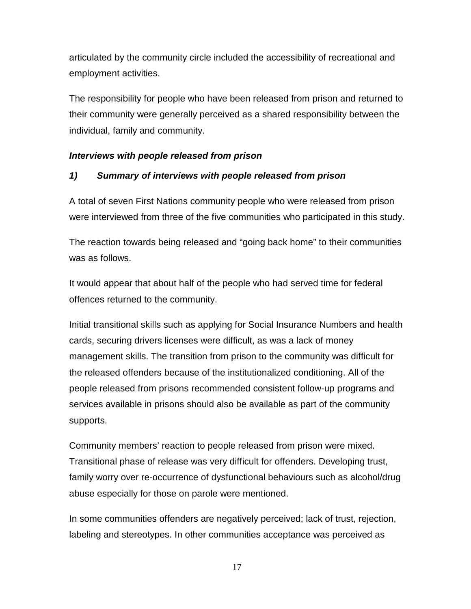<span id="page-21-0"></span>articulated by the community circle included the accessibility of recreational and employment activities.

The responsibility for people who have been released from prison and returned to their community were generally perceived as a shared responsibility between the individual, family and community.

### *Interviews with people released from prison*

## *1) Summary of interviews with people released from prison*

A total of seven First Nations community people who were released from prison were interviewed from three of the five communities who participated in this study.

The reaction towards being released and "going back home" to their communities was as follows.

It would appear that about half of the people who had served time for federal offences returned to the community.

Initial transitional skills such as applying for Social Insurance Numbers and health cards, securing drivers licenses were difficult, as was a lack of money management skills. The transition from prison to the community was difficult for the released offenders because of the institutionalized conditioning. All of the people released from prisons recommended consistent follow-up programs and services available in prisons should also be available as part of the community supports.

Community members' reaction to people released from prison were mixed. Transitional phase of release was very difficult for offenders. Developing trust, family worry over re-occurrence of dysfunctional behaviours such as alcohol/drug abuse especially for those on parole were mentioned.

In some communities offenders are negatively perceived; lack of trust, rejection, labeling and stereotypes. In other communities acceptance was perceived as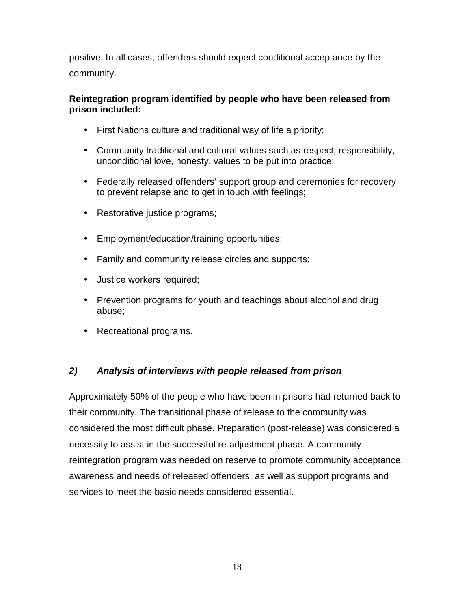<span id="page-22-0"></span>positive. In all cases, offenders should expect conditional acceptance by the community.

## **Reintegration program identified by people who have been released from prison included:**

- First Nations culture and traditional way of life a priority;
- Community traditional and cultural values such as respect, responsibility, unconditional love, honesty, values to be put into practice;
- Federally released offenders' support group and ceremonies for recovery to prevent relapse and to get in touch with feelings;
- Restorative justice programs;
- Employment/education/training opportunities;
- Family and community release circles and supports;
- Justice workers required;
- Prevention programs for youth and teachings about alcohol and drug abuse;
- Recreational programs.

# *2) Analysis of interviews with people released from prison*

Approximately 50% of the people who have been in prisons had returned back to their community. The transitional phase of release to the community was considered the most difficult phase. Preparation (post-release) was considered a necessity to assist in the successful re-adjustment phase. A community reintegration program was needed on reserve to promote community acceptance, awareness and needs of released offenders, as well as support programs and services to meet the basic needs considered essential.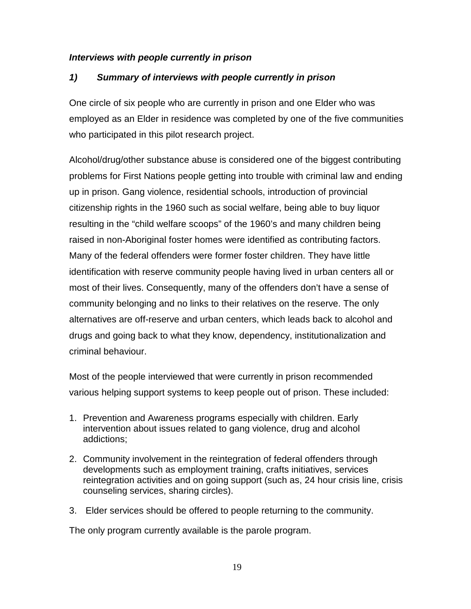## <span id="page-23-0"></span>*Interviews with people currently in prison*

# *1) Summary of interviews with people currently in prison*

One circle of six people who are currently in prison and one Elder who was employed as an Elder in residence was completed by one of the five communities who participated in this pilot research project.

Alcohol/drug/other substance abuse is considered one of the biggest contributing problems for First Nations people getting into trouble with criminal law and ending up in prison. Gang violence, residential schools, introduction of provincial citizenship rights in the 1960 such as social welfare, being able to buy liquor resulting in the "child welfare scoops" of the 1960's and many children being raised in non-Aboriginal foster homes were identified as contributing factors. Many of the federal offenders were former foster children. They have little identification with reserve community people having lived in urban centers all or most of their lives. Consequently, many of the offenders don't have a sense of community belonging and no links to their relatives on the reserve. The only alternatives are off-reserve and urban centers, which leads back to alcohol and drugs and going back to what they know, dependency, institutionalization and criminal behaviour.

Most of the people interviewed that were currently in prison recommended various helping support systems to keep people out of prison. These included:

- 1. Prevention and Awareness programs especially with children. Early intervention about issues related to gang violence, drug and alcohol addictions;
- 2. Community involvement in the reintegration of federal offenders through developments such as employment training, crafts initiatives, services reintegration activities and on going support (such as, 24 hour crisis line, crisis counseling services, sharing circles).
- 3. Elder services should be offered to people returning to the community.

The only program currently available is the parole program.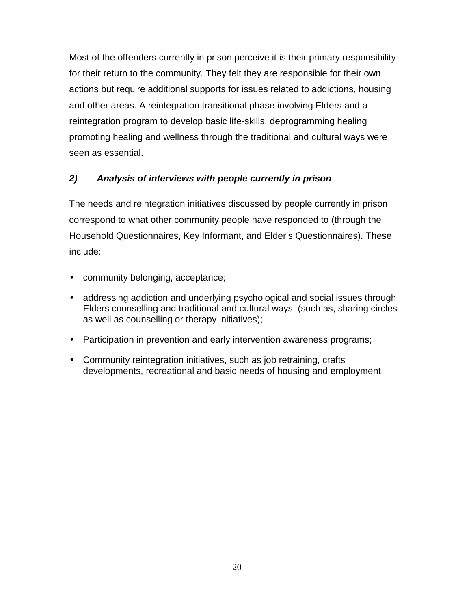<span id="page-24-0"></span>Most of the offenders currently in prison perceive it is their primary responsibility for their return to the community. They felt they are responsible for their own actions but require additional supports for issues related to addictions, housing and other areas. A reintegration transitional phase involving Elders and a reintegration program to develop basic life-skills, deprogramming healing promoting healing and wellness through the traditional and cultural ways were seen as essential.

# *2) Analysis of interviews with people currently in prison*

The needs and reintegration initiatives discussed by people currently in prison correspond to what other community people have responded to (through the Household Questionnaires, Key Informant, and Elder's Questionnaires). These include:

- community belonging, acceptance;
- addressing addiction and underlying psychological and social issues through Elders counselling and traditional and cultural ways, (such as, sharing circles as well as counselling or therapy initiatives);
- Participation in prevention and early intervention awareness programs;
- Community reintegration initiatives, such as job retraining, crafts developments, recreational and basic needs of housing and employment.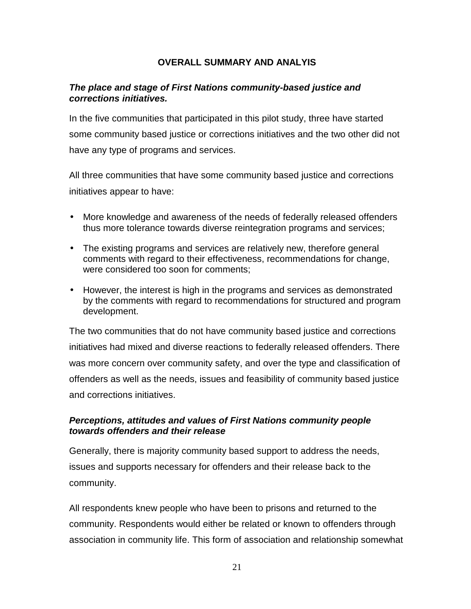#### **OVERALL SUMMARY AND ANALYIS**

#### <span id="page-25-0"></span>*The place and stage of First Nations community-based justice and corrections initiatives.*

In the five communities that participated in this pilot study, three have started some community based justice or corrections initiatives and the two other did not have any type of programs and services.

All three communities that have some community based justice and corrections initiatives appear to have:

- More knowledge and awareness of the needs of federally released offenders thus more tolerance towards diverse reintegration programs and services;
- The existing programs and services are relatively new, therefore general comments with regard to their effectiveness, recommendations for change, were considered too soon for comments;
- However, the interest is high in the programs and services as demonstrated by the comments with regard to recommendations for structured and program development.

The two communities that do not have community based justice and corrections initiatives had mixed and diverse reactions to federally released offenders. There was more concern over community safety, and over the type and classification of offenders as well as the needs, issues and feasibility of community based justice and corrections initiatives.

## *Perceptions, attitudes and values of First Nations community people towards offenders and their release*

Generally, there is majority community based support to address the needs, issues and supports necessary for offenders and their release back to the community.

All respondents knew people who have been to prisons and returned to the community. Respondents would either be related or known to offenders through association in community life. This form of association and relationship somewhat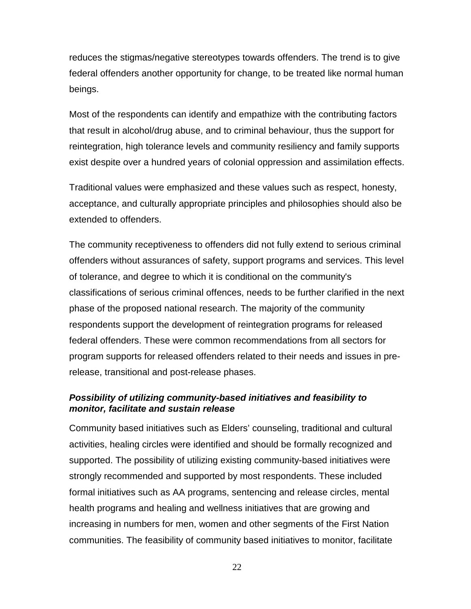reduces the stigmas/negative stereotypes towards offenders. The trend is to give federal offenders another opportunity for change, to be treated like normal human beings.

Most of the respondents can identify and empathize with the contributing factors that result in alcohol/drug abuse, and to criminal behaviour, thus the support for reintegration, high tolerance levels and community resiliency and family supports exist despite over a hundred years of colonial oppression and assimilation effects.

Traditional values were emphasized and these values such as respect, honesty, acceptance, and culturally appropriate principles and philosophies should also be extended to offenders.

The community receptiveness to offenders did not fully extend to serious criminal offenders without assurances of safety, support programs and services. This level of tolerance, and degree to which it is conditional on the community's classifications of serious criminal offences, needs to be further clarified in the next phase of the proposed national research. The majority of the community respondents support the development of reintegration programs for released federal offenders. These were common recommendations from all sectors for program supports for released offenders related to their needs and issues in prerelease, transitional and post-release phases.

# *Possibility of utilizing community-based initiatives and feasibility to monitor, facilitate and sustain release*

Community based initiatives such as Elders' counseling, traditional and cultural activities, healing circles were identified and should be formally recognized and supported. The possibility of utilizing existing community-based initiatives were strongly recommended and supported by most respondents. These included formal initiatives such as AA programs, sentencing and release circles, mental health programs and healing and wellness initiatives that are growing and increasing in numbers for men, women and other segments of the First Nation communities. The feasibility of community based initiatives to monitor, facilitate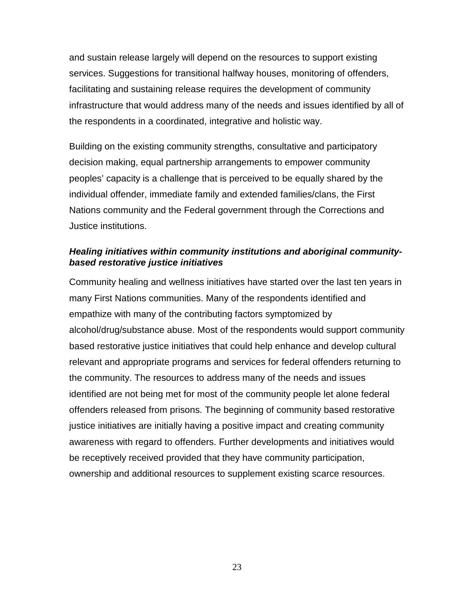and sustain release largely will depend on the resources to support existing services. Suggestions for transitional halfway houses, monitoring of offenders, facilitating and sustaining release requires the development of community infrastructure that would address many of the needs and issues identified by all of the respondents in a coordinated, integrative and holistic way.

Building on the existing community strengths, consultative and participatory decision making, equal partnership arrangements to empower community peoples' capacity is a challenge that is perceived to be equally shared by the individual offender, immediate family and extended families/clans, the First Nations community and the Federal government through the Corrections and Justice institutions.

## *Healing initiatives within community institutions and aboriginal communitybased restorative justice initiatives*

Community healing and wellness initiatives have started over the last ten years in many First Nations communities. Many of the respondents identified and empathize with many of the contributing factors symptomized by alcohol/drug/substance abuse. Most of the respondents would support community based restorative justice initiatives that could help enhance and develop cultural relevant and appropriate programs and services for federal offenders returning to the community. The resources to address many of the needs and issues identified are not being met for most of the community people let alone federal offenders released from prisons. The beginning of community based restorative justice initiatives are initially having a positive impact and creating community awareness with regard to offenders. Further developments and initiatives would be receptively received provided that they have community participation, ownership and additional resources to supplement existing scarce resources.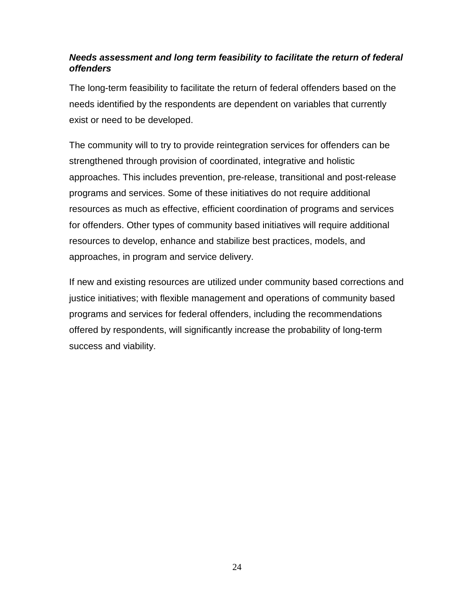# *Needs assessment and long term feasibility to facilitate the return of federal offenders*

The long-term feasibility to facilitate the return of federal offenders based on the needs identified by the respondents are dependent on variables that currently exist or need to be developed.

The community will to try to provide reintegration services for offenders can be strengthened through provision of coordinated, integrative and holistic approaches. This includes prevention, pre-release, transitional and post-release programs and services. Some of these initiatives do not require additional resources as much as effective, efficient coordination of programs and services for offenders. Other types of community based initiatives will require additional resources to develop, enhance and stabilize best practices, models, and approaches, in program and service delivery.

If new and existing resources are utilized under community based corrections and justice initiatives; with flexible management and operations of community based programs and services for federal offenders, including the recommendations offered by respondents, will significantly increase the probability of long-term success and viability.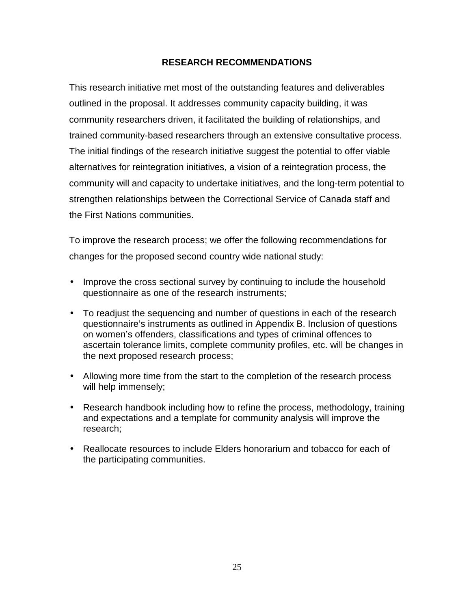## **RESEARCH RECOMMENDATIONS**

<span id="page-29-0"></span>This research initiative met most of the outstanding features and deliverables outlined in the proposal. It addresses community capacity building, it was community researchers driven, it facilitated the building of relationships, and trained community-based researchers through an extensive consultative process. The initial findings of the research initiative suggest the potential to offer viable alternatives for reintegration initiatives, a vision of a reintegration process, the community will and capacity to undertake initiatives, and the long-term potential to strengthen relationships between the Correctional Service of Canada staff and the First Nations communities.

To improve the research process; we offer the following recommendations for changes for the proposed second country wide national study:

- Improve the cross sectional survey by continuing to include the household questionnaire as one of the research instruments;
- To readjust the sequencing and number of questions in each of the research questionnaire's instruments as outlined in Appendix B. Inclusion of questions on women's offenders, classifications and types of criminal offences to ascertain tolerance limits, complete community profiles, etc. will be changes in the next proposed research process;
- Allowing more time from the start to the completion of the research process will help immensely;
- Research handbook including how to refine the process, methodology, training and expectations and a template for community analysis will improve the research;
- Reallocate resources to include Elders honorarium and tobacco for each of the participating communities.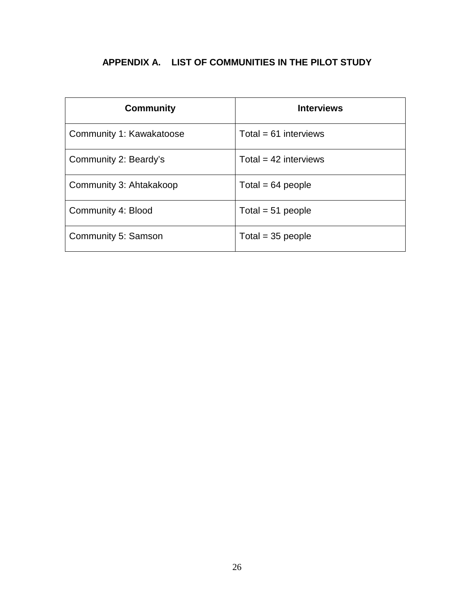# <span id="page-30-0"></span>**APPENDIX A. LIST OF COMMUNITIES IN THE PILOT STUDY**

| <b>Community</b>         | <b>Interviews</b>       |
|--------------------------|-------------------------|
| Community 1: Kawakatoose | Total = $61$ interviews |
| Community 2: Beardy's    | Total = $42$ interviews |
| Community 3: Ahtakakoop  | Total = $64$ people     |
| Community 4: Blood       | Total = $51$ people     |
| Community 5: Samson      | Total = $35$ people     |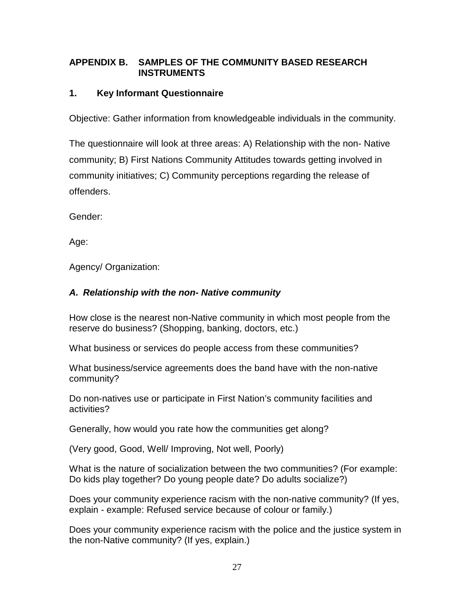# <span id="page-31-0"></span>**APPENDIX B. SAMPLES OF THE COMMUNITY BASED RESEARCH INSTRUMENTS**

## **1. Key Informant Questionnaire**

Objective: Gather information from knowledgeable individuals in the community.

The questionnaire will look at three areas: A) Relationship with the non- Native community; B) First Nations Community Attitudes towards getting involved in community initiatives; C) Community perceptions regarding the release of offenders.

Gender:

Age:

Agency/ Organization:

## *A. Relationship with the non- Native community*

How close is the nearest non-Native community in which most people from the reserve do business? (Shopping, banking, doctors, etc.)

What business or services do people access from these communities?

What business/service agreements does the band have with the non-native community?

Do non-natives use or participate in First Nation's community facilities and activities?

Generally, how would you rate how the communities get along?

(Very good, Good, Well/ Improving, Not well, Poorly)

What is the nature of socialization between the two communities? (For example: Do kids play together? Do young people date? Do adults socialize?)

Does your community experience racism with the non-native community? (If yes, explain - example: Refused service because of colour or family.)

Does your community experience racism with the police and the justice system in the non-Native community? (If yes, explain.)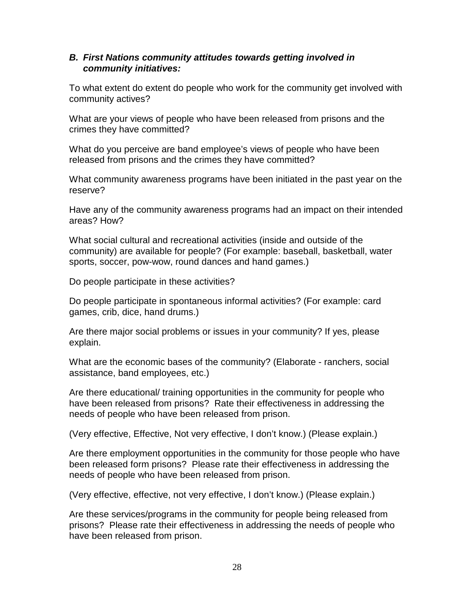#### *B. First Nations community attitudes towards getting involved in community initiatives:*

To what extent do extent do people who work for the community get involved with community actives?

What are your views of people who have been released from prisons and the crimes they have committed?

What do you perceive are band employee's views of people who have been released from prisons and the crimes they have committed?

What community awareness programs have been initiated in the past year on the reserve?

Have any of the community awareness programs had an impact on their intended areas? How?

What social cultural and recreational activities (inside and outside of the community) are available for people? (For example: baseball, basketball, water sports, soccer, pow-wow, round dances and hand games.)

Do people participate in these activities?

Do people participate in spontaneous informal activities? (For example: card games, crib, dice, hand drums.)

Are there major social problems or issues in your community? If yes, please explain.

What are the economic bases of the community? (Elaborate - ranchers, social assistance, band employees, etc.)

Are there educational/ training opportunities in the community for people who have been released from prisons? Rate their effectiveness in addressing the needs of people who have been released from prison.

(Very effective, Effective, Not very effective, I don't know.) (Please explain.)

Are there employment opportunities in the community for those people who have been released form prisons? Please rate their effectiveness in addressing the needs of people who have been released from prison.

(Very effective, effective, not very effective, I don't know.) (Please explain.)

Are these services/programs in the community for people being released from prisons? Please rate their effectiveness in addressing the needs of people who have been released from prison.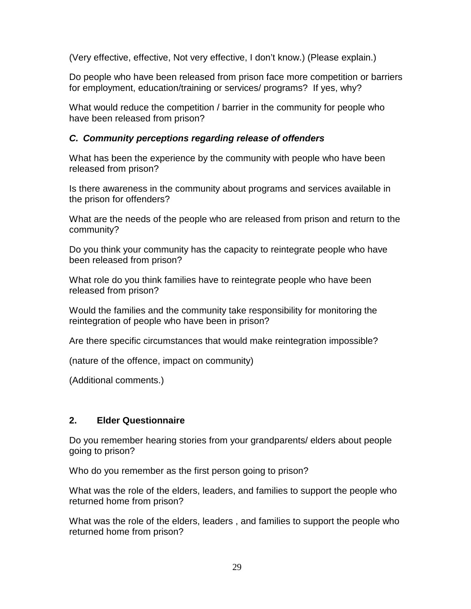(Very effective, effective, Not very effective, I don't know.) (Please explain.)

Do people who have been released from prison face more competition or barriers for employment, education/training or services/ programs? If yes, why?

What would reduce the competition / barrier in the community for people who have been released from prison?

# *C. Community perceptions regarding release of offenders*

What has been the experience by the community with people who have been released from prison?

Is there awareness in the community about programs and services available in the prison for offenders?

What are the needs of the people who are released from prison and return to the community?

Do you think your community has the capacity to reintegrate people who have been released from prison?

What role do you think families have to reintegrate people who have been released from prison?

Would the families and the community take responsibility for monitoring the reintegration of people who have been in prison?

Are there specific circumstances that would make reintegration impossible?

(nature of the offence, impact on community)

(Additional comments.)

# **2. Elder Questionnaire**

Do you remember hearing stories from your grandparents/ elders about people going to prison?

Who do you remember as the first person going to prison?

What was the role of the elders, leaders, and families to support the people who returned home from prison?

What was the role of the elders, leaders , and families to support the people who returned home from prison?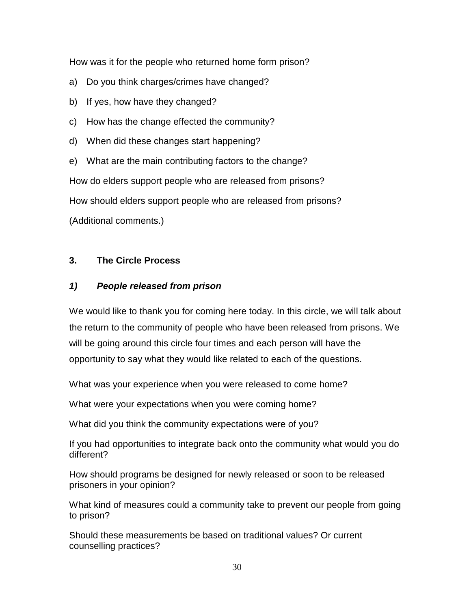How was it for the people who returned home form prison?

- a) Do you think charges/crimes have changed?
- b) If yes, how have they changed?
- c) How has the change effected the community?
- d) When did these changes start happening?
- e) What are the main contributing factors to the change?

How do elders support people who are released from prisons?

How should elders support people who are released from prisons?

(Additional comments.)

## **3. The Circle Process**

## *1) People released from prison*

We would like to thank you for coming here today. In this circle, we will talk about the return to the community of people who have been released from prisons. We will be going around this circle four times and each person will have the opportunity to say what they would like related to each of the questions.

What was your experience when you were released to come home?

What were your expectations when you were coming home?

What did you think the community expectations were of you?

If you had opportunities to integrate back onto the community what would you do different?

How should programs be designed for newly released or soon to be released prisoners in your opinion?

What kind of measures could a community take to prevent our people from going to prison?

Should these measurements be based on traditional values? Or current counselling practices?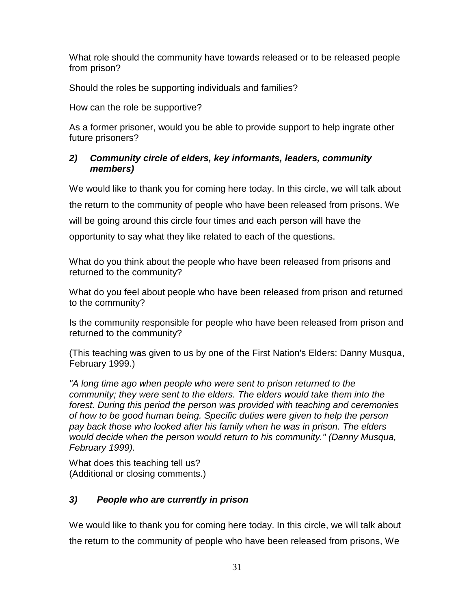What role should the community have towards released or to be released people from prison?

Should the roles be supporting individuals and families?

How can the role be supportive?

As a former prisoner, would you be able to provide support to help ingrate other future prisoners?

## *2) Community circle of elders, key informants, leaders, community members)*

We would like to thank you for coming here today. In this circle, we will talk about the return to the community of people who have been released from prisons. We will be going around this circle four times and each person will have the

opportunity to say what they like related to each of the questions.

What do you think about the people who have been released from prisons and returned to the community?

What do you feel about people who have been released from prison and returned to the community?

Is the community responsible for people who have been released from prison and returned to the community?

(This teaching was given to us by one of the First Nation's Elders: Danny Musqua, February 1999.)

*"A long time ago when people who were sent to prison returned to the community; they were sent to the elders. The elders would take them into the forest. During this period the person was provided with teaching and ceremonies of how to be good human being. Specific duties were given to help the person pay back those who looked after his family when he was in prison. The elders would decide when the person would return to his community." (Danny Musqua, February 1999).*

What does this teaching tell us? (Additional or closing comments.)

# *3) People who are currently in prison*

We would like to thank you for coming here today. In this circle, we will talk about the return to the community of people who have been released from prisons, We